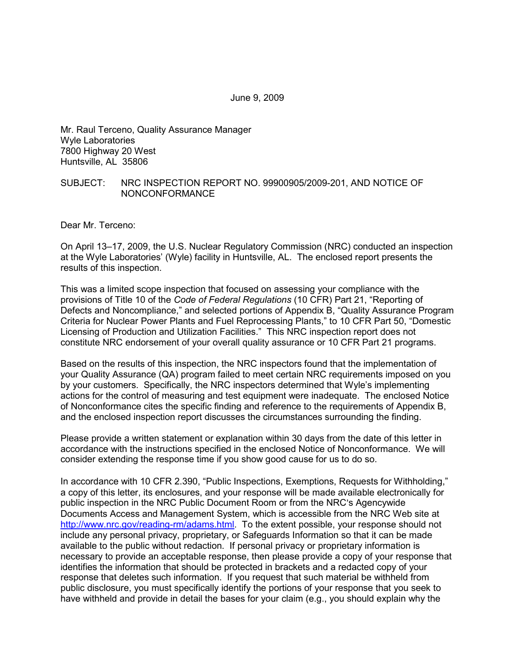June 9, 2009

Mr. Raul Terceno, Quality Assurance Manager Wyle Laboratories 7800 Highway 20 West Huntsville, AL 35806

#### SUBJECT: NRC INSPECTION REPORT NO. 99900905/2009-201, AND NOTICE OF NONCONFORMANCE

Dear Mr. Terceno:

On April 13–17, 2009, the U.S. Nuclear Regulatory Commission (NRC) conducted an inspection at the Wyle Laboratories' (Wyle) facility in Huntsville, AL. The enclosed report presents the results of this inspection.

This was a limited scope inspection that focused on assessing your compliance with the provisions of Title 10 of the *Code of Federal Regulations* (10 CFR) Part 21, "Reporting of Defects and Noncompliance," and selected portions of Appendix B, "Quality Assurance Program Criteria for Nuclear Power Plants and Fuel Reprocessing Plants," to 10 CFR Part 50, "Domestic Licensing of Production and Utilization Facilities." This NRC inspection report does not constitute NRC endorsement of your overall quality assurance or 10 CFR Part 21 programs.

Based on the results of this inspection, the NRC inspectors found that the implementation of your Quality Assurance (QA) program failed to meet certain NRC requirements imposed on you by your customers. Specifically, the NRC inspectors determined that Wyle's implementing actions for the control of measuring and test equipment were inadequate. The enclosed Notice of Nonconformance cites the specific finding and reference to the requirements of Appendix B, and the enclosed inspection report discusses the circumstances surrounding the finding.

Please provide a written statement or explanation within 30 days from the date of this letter in accordance with the instructions specified in the enclosed Notice of Nonconformance. We will consider extending the response time if you show good cause for us to do so.

In accordance with 10 CFR 2.390, "Public Inspections, Exemptions, Requests for Withholding," a copy of this letter, its enclosures, and your response will be made available electronically for public inspection in the NRC Public Document Room or from the NRC's Agencywide Documents Access and Management System, which is accessible from the NRC Web site at http://www.nrc.gov/reading-rm/adams.html. To the extent possible, your response should not include any personal privacy, proprietary, or Safeguards Information so that it can be made available to the public without redaction. If personal privacy or proprietary information is necessary to provide an acceptable response, then please provide a copy of your response that identifies the information that should be protected in brackets and a redacted copy of your response that deletes such information. If you request that such material be withheld from public disclosure, you must specifically identify the portions of your response that you seek to have withheld and provide in detail the bases for your claim (e.g., you should explain why the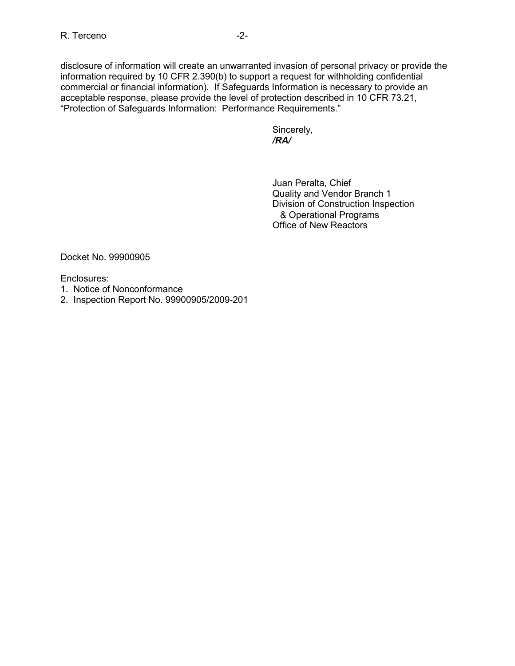disclosure of information will create an unwarranted invasion of personal privacy or provide the information required by 10 CFR 2.390(b) to support a request for withholding confidential commercial or financial information). If Safeguards Information is necessary to provide an acceptable response, please provide the level of protection described in 10 CFR 73.21, "Protection of Safeguards Information: Performance Requirements."

 Sincerely, */RA/* 

> Juan Peralta, Chief Quality and Vendor Branch 1 Division of Construction Inspection & Operational Programs Office of New Reactors

Docket No. 99900905

Enclosures:

- 1. Notice of Nonconformance
- 2. Inspection Report No. 99900905/2009-201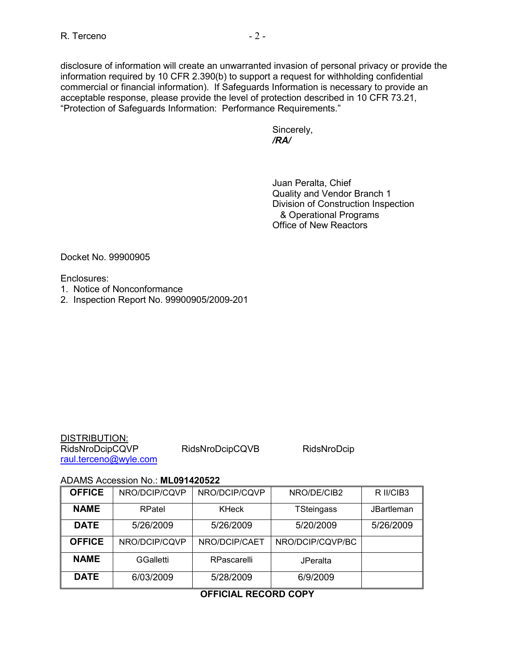disclosure of information will create an unwarranted invasion of personal privacy or provide the information required by 10 CFR 2.390(b) to support a request for withholding confidential commercial or financial information). If Safeguards Information is necessary to provide an acceptable response, please provide the level of protection described in 10 CFR 73.21, "Protection of Safeguards Information: Performance Requirements."

 Sincerely, */RA/* 

> Juan Peralta, Chief Quality and Vendor Branch 1 Division of Construction Inspection & Operational Programs Office of New Reactors

Docket No. 99900905

Enclosures:

- 1. Notice of Nonconformance
- 2. Inspection Report No. 99900905/2009-201

| <b>DISTRIBUTION:</b>  |
|-----------------------|
| RidsNroDcipCQVP       |
| raul.terceno@wyle.com |

RidsNroDcipCQVB RidsNroDcip

#### ADAMS Accession No.: **ML091420522**

| <b>OFFICE</b> | NRO/DCIP/CQVP    | NRO/DCIP/CQVP | NRO/DE/CIB2       | R II/CIB3         |
|---------------|------------------|---------------|-------------------|-------------------|
| <b>NAME</b>   | RPatel           | <b>KHeck</b>  | <b>TSteingass</b> | <b>JBartleman</b> |
| <b>DATE</b>   | 5/26/2009        | 5/26/2009     | 5/20/2009         | 5/26/2009         |
| <b>OFFICE</b> | NRO/DCIP/CQVP    | NRO/DCIP/CAET | NRO/DCIP/CQVP/BC  |                   |
| <b>NAME</b>   | <b>GGalletti</b> | RPascarelli   | <b>JPeralta</b>   |                   |
| <b>DATE</b>   | 6/03/2009        | 5/28/2009     | 6/9/2009          |                   |

# **OFFICIAL RECORD COPY**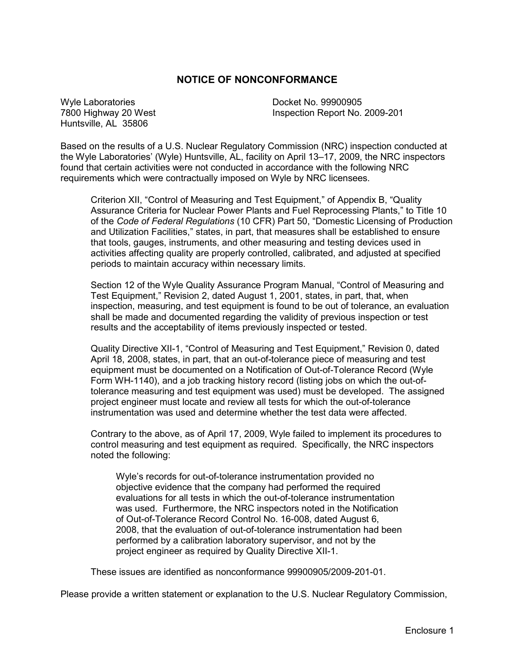# **NOTICE OF NONCONFORMANCE**

Wyle Laboratories **Docket No. 99900905** Huntsville, AL 35806

7800 Highway 20 West Inspection Report No. 2009-201

Based on the results of a U.S. Nuclear Regulatory Commission (NRC) inspection conducted at the Wyle Laboratories' (Wyle) Huntsville, AL, facility on April 13–17, 2009, the NRC inspectors found that certain activities were not conducted in accordance with the following NRC requirements which were contractually imposed on Wyle by NRC licensees.

Criterion XII, "Control of Measuring and Test Equipment," of Appendix B, "Quality Assurance Criteria for Nuclear Power Plants and Fuel Reprocessing Plants," to Title 10 of the *Code of Federal Regulations* (10 CFR) Part 50, "Domestic Licensing of Production and Utilization Facilities," states, in part, that measures shall be established to ensure that tools, gauges, instruments, and other measuring and testing devices used in activities affecting quality are properly controlled, calibrated, and adjusted at specified periods to maintain accuracy within necessary limits.

Section 12 of the Wyle Quality Assurance Program Manual, "Control of Measuring and Test Equipment," Revision 2, dated August 1, 2001, states, in part, that, when inspection, measuring, and test equipment is found to be out of tolerance, an evaluation shall be made and documented regarding the validity of previous inspection or test results and the acceptability of items previously inspected or tested.

Quality Directive XII-1, "Control of Measuring and Test Equipment," Revision 0, dated April 18, 2008, states, in part, that an out-of-tolerance piece of measuring and test equipment must be documented on a Notification of Out-of-Tolerance Record (Wyle Form WH-1140), and a job tracking history record (listing jobs on which the out-oftolerance measuring and test equipment was used) must be developed. The assigned project engineer must locate and review all tests for which the out-of-tolerance instrumentation was used and determine whether the test data were affected.

Contrary to the above, as of April 17, 2009, Wyle failed to implement its procedures to control measuring and test equipment as required. Specifically, the NRC inspectors noted the following:

Wyle's records for out-of-tolerance instrumentation provided no objective evidence that the company had performed the required evaluations for all tests in which the out-of-tolerance instrumentation was used. Furthermore, the NRC inspectors noted in the Notification of Out-of-Tolerance Record Control No. 16-008, dated August 6, 2008, that the evaluation of out-of-tolerance instrumentation had been performed by a calibration laboratory supervisor, and not by the project engineer as required by Quality Directive XII-1.

These issues are identified as nonconformance 99900905/2009-201-01.

Please provide a written statement or explanation to the U.S. Nuclear Regulatory Commission,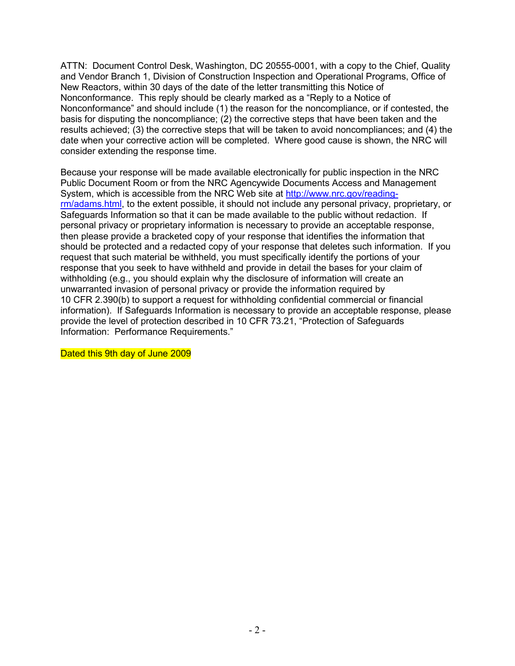ATTN: Document Control Desk, Washington, DC 20555-0001, with a copy to the Chief, Quality and Vendor Branch 1, Division of Construction Inspection and Operational Programs, Office of New Reactors, within 30 days of the date of the letter transmitting this Notice of Nonconformance. This reply should be clearly marked as a "Reply to a Notice of Nonconformance" and should include (1) the reason for the noncompliance, or if contested, the basis for disputing the noncompliance; (2) the corrective steps that have been taken and the results achieved; (3) the corrective steps that will be taken to avoid noncompliances; and (4) the date when your corrective action will be completed. Where good cause is shown, the NRC will consider extending the response time.

Because your response will be made available electronically for public inspection in the NRC Public Document Room or from the NRC Agencywide Documents Access and Management System, which is accessible from the NRC Web site at http://www.nrc.gov/readingrm/adams.html, to the extent possible, it should not include any personal privacy, proprietary, or Safeguards Information so that it can be made available to the public without redaction. If personal privacy or proprietary information is necessary to provide an acceptable response, then please provide a bracketed copy of your response that identifies the information that should be protected and a redacted copy of your response that deletes such information. If you request that such material be withheld, you must specifically identify the portions of your response that you seek to have withheld and provide in detail the bases for your claim of withholding (e.g., you should explain why the disclosure of information will create an unwarranted invasion of personal privacy or provide the information required by 10 CFR 2.390(b) to support a request for withholding confidential commercial or financial information). If Safeguards Information is necessary to provide an acceptable response, please provide the level of protection described in 10 CFR 73.21, "Protection of Safeguards Information: Performance Requirements."

Dated this 9th day of June 2009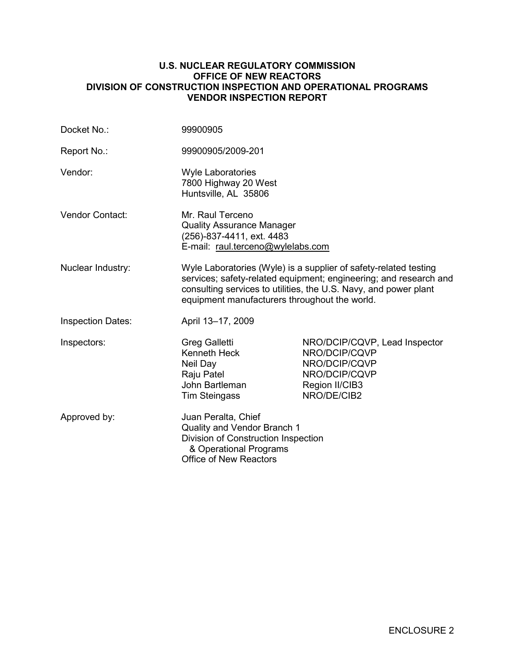#### **U.S. NUCLEAR REGULATORY COMMISSION OFFICE OF NEW REACTORS DIVISION OF CONSTRUCTION INSPECTION AND OPERATIONAL PROGRAMS VENDOR INSPECTION REPORT**

| Docket No.:              | 99900905                                                                                                                                             |                                                                                                                                                                                                           |
|--------------------------|------------------------------------------------------------------------------------------------------------------------------------------------------|-----------------------------------------------------------------------------------------------------------------------------------------------------------------------------------------------------------|
| Report No.:              | 99900905/2009-201                                                                                                                                    |                                                                                                                                                                                                           |
| Vendor:                  | <b>Wyle Laboratories</b><br>7800 Highway 20 West<br>Huntsville, AL 35806                                                                             |                                                                                                                                                                                                           |
| <b>Vendor Contact:</b>   | Mr. Raul Terceno<br><b>Quality Assurance Manager</b><br>(256)-837-4411, ext. 4483<br>E-mail: raul.terceno@wylelabs.com                               |                                                                                                                                                                                                           |
| Nuclear Industry:        | equipment manufacturers throughout the world.                                                                                                        | Wyle Laboratories (Wyle) is a supplier of safety-related testing<br>services; safety-related equipment; engineering; and research and<br>consulting services to utilities, the U.S. Navy, and power plant |
| <b>Inspection Dates:</b> | April 13-17, 2009                                                                                                                                    |                                                                                                                                                                                                           |
| Inspectors:              | <b>Greg Galletti</b><br>Kenneth Heck<br>Neil Day<br>Raju Patel<br>John Bartleman<br><b>Tim Steingass</b>                                             | NRO/DCIP/CQVP, Lead Inspector<br>NRO/DCIP/CQVP<br>NRO/DCIP/CQVP<br>NRO/DCIP/CQVP<br>Region II/CIB3<br>NRO/DE/CIB2                                                                                         |
| Approved by:             | Juan Peralta, Chief<br>Quality and Vendor Branch 1<br>Division of Construction Inspection<br>& Operational Programs<br><b>Office of New Reactors</b> |                                                                                                                                                                                                           |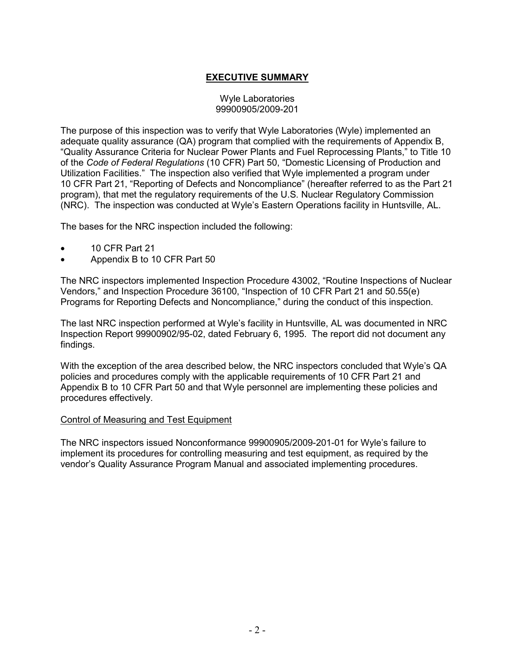# **EXECUTIVE SUMMARY**

#### Wyle Laboratories 99900905/2009-201

The purpose of this inspection was to verify that Wyle Laboratories (Wyle) implemented an adequate quality assurance (QA) program that complied with the requirements of Appendix B, "Quality Assurance Criteria for Nuclear Power Plants and Fuel Reprocessing Plants," to Title 10 of the *Code of Federal Regulations* (10 CFR) Part 50, "Domestic Licensing of Production and Utilization Facilities." The inspection also verified that Wyle implemented a program under 10 CFR Part 21, "Reporting of Defects and Noncompliance" (hereafter referred to as the Part 21 program), that met the regulatory requirements of the U.S. Nuclear Regulatory Commission (NRC). The inspection was conducted at Wyle's Eastern Operations facility in Huntsville, AL.

The bases for the NRC inspection included the following:

- 10 CFR Part 21
- Appendix B to 10 CFR Part 50

The NRC inspectors implemented Inspection Procedure 43002, "Routine Inspections of Nuclear Vendors," and Inspection Procedure 36100, "Inspection of 10 CFR Part 21 and 50.55(e) Programs for Reporting Defects and Noncompliance," during the conduct of this inspection.

The last NRC inspection performed at Wyle's facility in Huntsville, AL was documented in NRC Inspection Report 99900902/95-02, dated February 6, 1995. The report did not document any findings.

With the exception of the area described below, the NRC inspectors concluded that Wyle's QA policies and procedures comply with the applicable requirements of 10 CFR Part 21 and Appendix B to 10 CFR Part 50 and that Wyle personnel are implementing these policies and procedures effectively.

#### Control of Measuring and Test Equipment

The NRC inspectors issued Nonconformance 99900905/2009-201-01 for Wyle's failure to implement its procedures for controlling measuring and test equipment, as required by the vendor's Quality Assurance Program Manual and associated implementing procedures.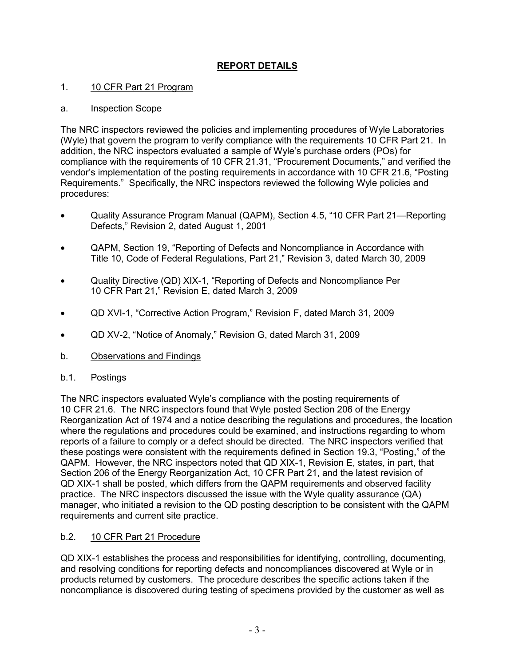# **REPORT DETAILS**

### 1. 10 CFR Part 21 Program

#### a. Inspection Scope

The NRC inspectors reviewed the policies and implementing procedures of Wyle Laboratories (Wyle) that govern the program to verify compliance with the requirements 10 CFR Part 21. In addition, the NRC inspectors evaluated a sample of Wyle's purchase orders (POs) for compliance with the requirements of 10 CFR 21.31, "Procurement Documents," and verified the vendor's implementation of the posting requirements in accordance with 10 CFR 21.6, "Posting Requirements." Specifically, the NRC inspectors reviewed the following Wyle policies and procedures:

- Quality Assurance Program Manual (QAPM), Section 4.5, "10 CFR Part 21—Reporting Defects," Revision 2, dated August 1, 2001
- QAPM, Section 19, "Reporting of Defects and Noncompliance in Accordance with Title 10, Code of Federal Regulations, Part 21," Revision 3, dated March 30, 2009
- Quality Directive (QD) XIX-1, "Reporting of Defects and Noncompliance Per 10 CFR Part 21," Revision E, dated March 3, 2009
- QD XVI-1, "Corrective Action Program," Revision F, dated March 31, 2009
- QD XV-2, "Notice of Anomaly," Revision G, dated March 31, 2009
- b. Observations and Findings

#### b.1. Postings

The NRC inspectors evaluated Wyle's compliance with the posting requirements of 10 CFR 21.6. The NRC inspectors found that Wyle posted Section 206 of the Energy Reorganization Act of 1974 and a notice describing the regulations and procedures, the location where the regulations and procedures could be examined, and instructions regarding to whom reports of a failure to comply or a defect should be directed. The NRC inspectors verified that these postings were consistent with the requirements defined in Section 19.3, "Posting," of the QAPM. However, the NRC inspectors noted that QD XIX-1, Revision E, states, in part, that Section 206 of the Energy Reorganization Act, 10 CFR Part 21, and the latest revision of QD XIX-1 shall be posted, which differs from the QAPM requirements and observed facility practice. The NRC inspectors discussed the issue with the Wyle quality assurance (QA) manager, who initiated a revision to the QD posting description to be consistent with the QAPM requirements and current site practice.

# b.2. 10 CFR Part 21 Procedure

QD XIX-1 establishes the process and responsibilities for identifying, controlling, documenting, and resolving conditions for reporting defects and noncompliances discovered at Wyle or in products returned by customers. The procedure describes the specific actions taken if the noncompliance is discovered during testing of specimens provided by the customer as well as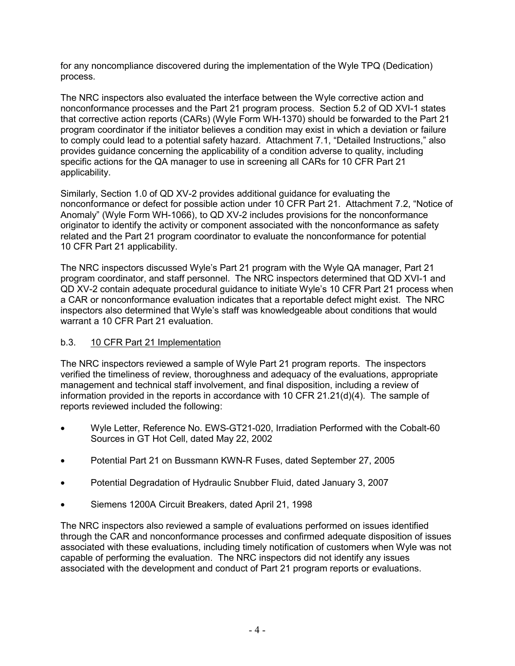for any noncompliance discovered during the implementation of the Wyle TPQ (Dedication) process.

The NRC inspectors also evaluated the interface between the Wyle corrective action and nonconformance processes and the Part 21 program process. Section 5.2 of QD XVI-1 states that corrective action reports (CARs) (Wyle Form WH-1370) should be forwarded to the Part 21 program coordinator if the initiator believes a condition may exist in which a deviation or failure to comply could lead to a potential safety hazard. Attachment 7.1, "Detailed Instructions," also provides guidance concerning the applicability of a condition adverse to quality, including specific actions for the QA manager to use in screening all CARs for 10 CFR Part 21 applicability.

Similarly, Section 1.0 of QD XV-2 provides additional guidance for evaluating the nonconformance or defect for possible action under 10 CFR Part 21. Attachment 7.2, "Notice of Anomaly" (Wyle Form WH-1066), to QD XV-2 includes provisions for the nonconformance originator to identify the activity or component associated with the nonconformance as safety related and the Part 21 program coordinator to evaluate the nonconformance for potential 10 CFR Part 21 applicability.

The NRC inspectors discussed Wyle's Part 21 program with the Wyle QA manager, Part 21 program coordinator, and staff personnel. The NRC inspectors determined that QD XVI-1 and QD XV-2 contain adequate procedural guidance to initiate Wyle's 10 CFR Part 21 process when a CAR or nonconformance evaluation indicates that a reportable defect might exist. The NRC inspectors also determined that Wyle's staff was knowledgeable about conditions that would warrant a 10 CFR Part 21 evaluation.

# b.3. 10 CFR Part 21 Implementation

The NRC inspectors reviewed a sample of Wyle Part 21 program reports. The inspectors verified the timeliness of review, thoroughness and adequacy of the evaluations, appropriate management and technical staff involvement, and final disposition, including a review of information provided in the reports in accordance with 10 CFR 21.21(d)(4). The sample of reports reviewed included the following:

- Wyle Letter, Reference No. EWS-GT21-020, Irradiation Performed with the Cobalt-60 Sources in GT Hot Cell, dated May 22, 2002
- Potential Part 21 on Bussmann KWN-R Fuses, dated September 27, 2005
- Potential Degradation of Hydraulic Snubber Fluid, dated January 3, 2007
- Siemens 1200A Circuit Breakers, dated April 21, 1998

The NRC inspectors also reviewed a sample of evaluations performed on issues identified through the CAR and nonconformance processes and confirmed adequate disposition of issues associated with these evaluations, including timely notification of customers when Wyle was not capable of performing the evaluation. The NRC inspectors did not identify any issues associated with the development and conduct of Part 21 program reports or evaluations.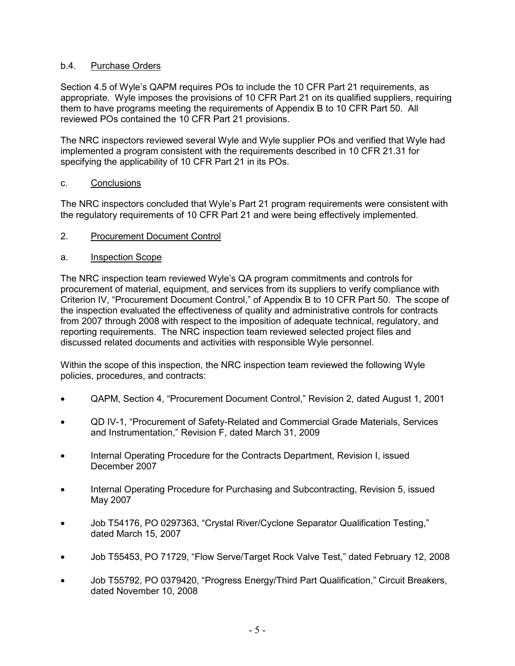### b.4. Purchase Orders

Section 4.5 of Wyle's QAPM requires POs to include the 10 CFR Part 21 requirements, as appropriate. Wyle imposes the provisions of 10 CFR Part 21 on its qualified suppliers, requiring them to have programs meeting the requirements of Appendix B to 10 CFR Part 50. All reviewed POs contained the 10 CFR Part 21 provisions.

The NRC inspectors reviewed several Wyle and Wyle supplier POs and verified that Wyle had implemented a program consistent with the requirements described in 10 CFR 21.31 for specifying the applicability of 10 CFR Part 21 in its POs.

#### c. Conclusions

The NRC inspectors concluded that Wyle's Part 21 program requirements were consistent with the regulatory requirements of 10 CFR Part 21 and were being effectively implemented.

2. Procurement Document Control

### a. Inspection Scope

The NRC inspection team reviewed Wyle's QA program commitments and controls for procurement of material, equipment, and services from its suppliers to verify compliance with Criterion IV, "Procurement Document Control," of Appendix B to 10 CFR Part 50. The scope of the inspection evaluated the effectiveness of quality and administrative controls for contracts from 2007 through 2008 with respect to the imposition of adequate technical, regulatory, and reporting requirements. The NRC inspection team reviewed selected project files and discussed related documents and activities with responsible Wyle personnel.

Within the scope of this inspection, the NRC inspection team reviewed the following Wyle policies, procedures, and contracts:

- QAPM, Section 4, "Procurement Document Control," Revision 2, dated August 1, 2001
- QD IV-1, "Procurement of Safety-Related and Commercial Grade Materials, Services and Instrumentation," Revision F, dated March 31, 2009
- Internal Operating Procedure for the Contracts Department, Revision I, issued December 2007
- Internal Operating Procedure for Purchasing and Subcontracting, Revision 5, issued May 2007
- Job T54176, PO 0297363, "Crystal River/Cyclone Separator Qualification Testing," dated March 15, 2007
- Job T55453, PO 71729, "Flow Serve/Target Rock Valve Test," dated February 12, 2008
- Job T55792, PO 0379420, "Progress Energy/Third Part Qualification," Circuit Breakers, dated November 10, 2008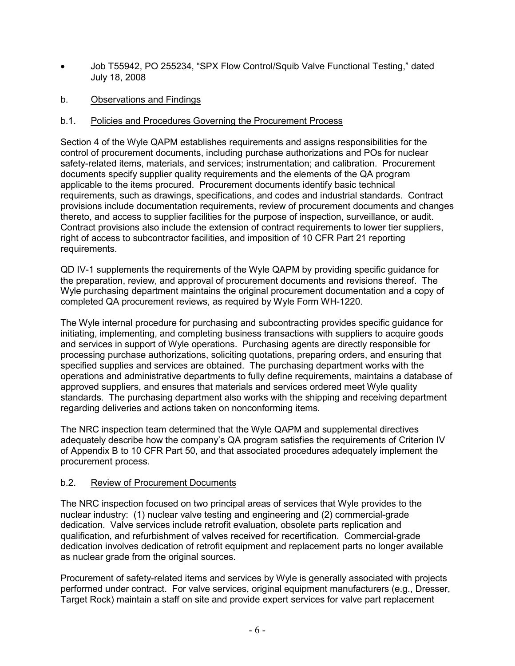- Job T55942, PO 255234, "SPX Flow Control/Squib Valve Functional Testing," dated July 18, 2008
- b. Observations and Findings

### b.1. Policies and Procedures Governing the Procurement Process

Section 4 of the Wyle QAPM establishes requirements and assigns responsibilities for the control of procurement documents, including purchase authorizations and POs for nuclear safety-related items, materials, and services; instrumentation; and calibration. Procurement documents specify supplier quality requirements and the elements of the QA program applicable to the items procured. Procurement documents identify basic technical requirements, such as drawings, specifications, and codes and industrial standards. Contract provisions include documentation requirements, review of procurement documents and changes thereto, and access to supplier facilities for the purpose of inspection, surveillance, or audit. Contract provisions also include the extension of contract requirements to lower tier suppliers, right of access to subcontractor facilities, and imposition of 10 CFR Part 21 reporting requirements.

QD IV-1 supplements the requirements of the Wyle QAPM by providing specific guidance for the preparation, review, and approval of procurement documents and revisions thereof. The Wyle purchasing department maintains the original procurement documentation and a copy of completed QA procurement reviews, as required by Wyle Form WH-1220.

The Wyle internal procedure for purchasing and subcontracting provides specific guidance for initiating, implementing, and completing business transactions with suppliers to acquire goods and services in support of Wyle operations. Purchasing agents are directly responsible for processing purchase authorizations, soliciting quotations, preparing orders, and ensuring that specified supplies and services are obtained. The purchasing department works with the operations and administrative departments to fully define requirements, maintains a database of approved suppliers, and ensures that materials and services ordered meet Wyle quality standards. The purchasing department also works with the shipping and receiving department regarding deliveries and actions taken on nonconforming items.

The NRC inspection team determined that the Wyle QAPM and supplemental directives adequately describe how the company's QA program satisfies the requirements of Criterion IV of Appendix B to 10 CFR Part 50, and that associated procedures adequately implement the procurement process.

#### b.2. Review of Procurement Documents

The NRC inspection focused on two principal areas of services that Wyle provides to the nuclear industry: (1) nuclear valve testing and engineering and (2) commercial-grade dedication. Valve services include retrofit evaluation, obsolete parts replication and qualification, and refurbishment of valves received for recertification. Commercial-grade dedication involves dedication of retrofit equipment and replacement parts no longer available as nuclear grade from the original sources.

Procurement of safety-related items and services by Wyle is generally associated with projects performed under contract. For valve services, original equipment manufacturers (e.g., Dresser, Target Rock) maintain a staff on site and provide expert services for valve part replacement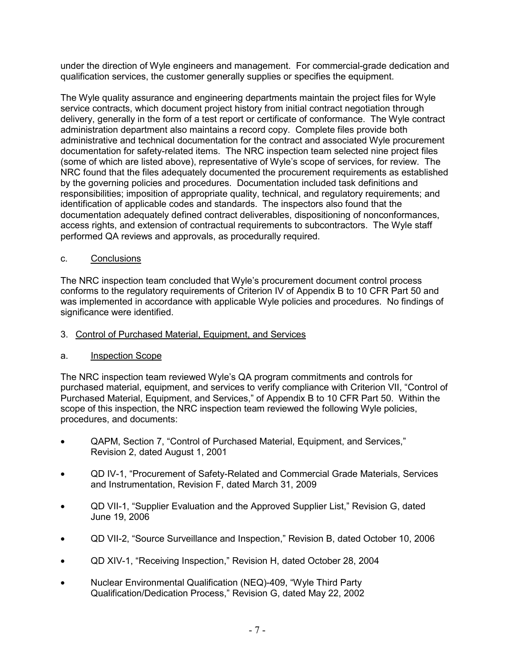under the direction of Wyle engineers and management. For commercial-grade dedication and qualification services, the customer generally supplies or specifies the equipment.

The Wyle quality assurance and engineering departments maintain the project files for Wyle service contracts, which document project history from initial contract negotiation through delivery, generally in the form of a test report or certificate of conformance. The Wyle contract administration department also maintains a record copy. Complete files provide both administrative and technical documentation for the contract and associated Wyle procurement documentation for safety-related items. The NRC inspection team selected nine project files (some of which are listed above), representative of Wyle's scope of services, for review. The NRC found that the files adequately documented the procurement requirements as established by the governing policies and procedures. Documentation included task definitions and responsibilities; imposition of appropriate quality, technical, and regulatory requirements; and identification of applicable codes and standards. The inspectors also found that the documentation adequately defined contract deliverables, dispositioning of nonconformances, access rights, and extension of contractual requirements to subcontractors. The Wyle staff performed QA reviews and approvals, as procedurally required.

### c. Conclusions

The NRC inspection team concluded that Wyle's procurement document control process conforms to the regulatory requirements of Criterion IV of Appendix B to 10 CFR Part 50 and was implemented in accordance with applicable Wyle policies and procedures. No findings of significance were identified.

#### 3. Control of Purchased Material, Equipment, and Services

#### a. Inspection Scope

The NRC inspection team reviewed Wyle's QA program commitments and controls for purchased material, equipment, and services to verify compliance with Criterion VII, "Control of Purchased Material, Equipment, and Services," of Appendix B to 10 CFR Part 50. Within the scope of this inspection, the NRC inspection team reviewed the following Wyle policies, procedures, and documents:

- QAPM, Section 7, "Control of Purchased Material, Equipment, and Services," Revision 2, dated August 1, 2001
- QD IV-1, "Procurement of Safety-Related and Commercial Grade Materials, Services and Instrumentation, Revision F, dated March 31, 2009
- QD VII-1, "Supplier Evaluation and the Approved Supplier List," Revision G, dated June 19, 2006
- QD VII-2, "Source Surveillance and Inspection," Revision B, dated October 10, 2006
- QD XIV-1, "Receiving Inspection," Revision H, dated October 28, 2004
- Nuclear Environmental Qualification (NEQ)-409, "Wyle Third Party Qualification/Dedication Process," Revision G, dated May 22, 2002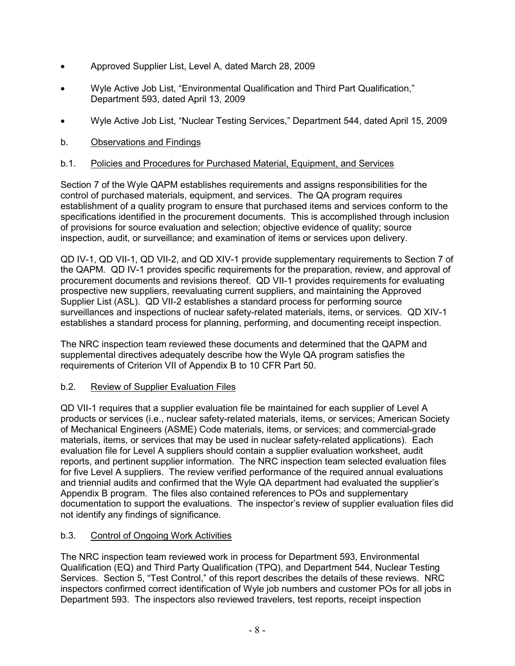- Approved Supplier List, Level A, dated March 28, 2009
- Wyle Active Job List, "Environmental Qualification and Third Part Qualification," Department 593, dated April 13, 2009
- Wyle Active Job List, "Nuclear Testing Services," Department 544, dated April 15, 2009
- b. Observations and Findings

# b.1. Policies and Procedures for Purchased Material, Equipment, and Services

Section 7 of the Wyle QAPM establishes requirements and assigns responsibilities for the control of purchased materials, equipment, and services. The QA program requires establishment of a quality program to ensure that purchased items and services conform to the specifications identified in the procurement documents. This is accomplished through inclusion of provisions for source evaluation and selection; objective evidence of quality; source inspection, audit, or surveillance; and examination of items or services upon delivery.

QD IV-1, QD VII-1, QD VII-2, and QD XIV-1 provide supplementary requirements to Section 7 of the QAPM. QD IV-1 provides specific requirements for the preparation, review, and approval of procurement documents and revisions thereof. QD VII-1 provides requirements for evaluating prospective new suppliers, reevaluating current suppliers, and maintaining the Approved Supplier List (ASL). QD VII-2 establishes a standard process for performing source surveillances and inspections of nuclear safety-related materials, items, or services. QD XIV-1 establishes a standard process for planning, performing, and documenting receipt inspection.

The NRC inspection team reviewed these documents and determined that the QAPM and supplemental directives adequately describe how the Wyle QA program satisfies the requirements of Criterion VII of Appendix B to 10 CFR Part 50.

# b.2. Review of Supplier Evaluation Files

QD VII-1 requires that a supplier evaluation file be maintained for each supplier of Level A products or services (i.e., nuclear safety-related materials, items, or services; American Society of Mechanical Engineers (ASME) Code materials, items, or services; and commercial-grade materials, items, or services that may be used in nuclear safety-related applications). Each evaluation file for Level A suppliers should contain a supplier evaluation worksheet, audit reports, and pertinent supplier information. The NRC inspection team selected evaluation files for five Level A suppliers. The review verified performance of the required annual evaluations and triennial audits and confirmed that the Wyle QA department had evaluated the supplier's Appendix B program. The files also contained references to POs and supplementary documentation to support the evaluations. The inspector's review of supplier evaluation files did not identify any findings of significance.

# b.3. Control of Ongoing Work Activities

The NRC inspection team reviewed work in process for Department 593, Environmental Qualification (EQ) and Third Party Qualification (TPQ), and Department 544, Nuclear Testing Services. Section 5, "Test Control," of this report describes the details of these reviews. NRC inspectors confirmed correct identification of Wyle job numbers and customer POs for all jobs in Department 593. The inspectors also reviewed travelers, test reports, receipt inspection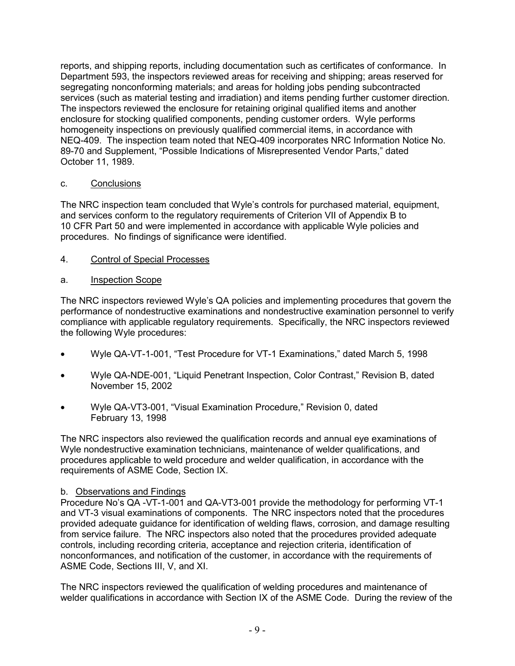reports, and shipping reports, including documentation such as certificates of conformance. In Department 593, the inspectors reviewed areas for receiving and shipping; areas reserved for segregating nonconforming materials; and areas for holding jobs pending subcontracted services (such as material testing and irradiation) and items pending further customer direction. The inspectors reviewed the enclosure for retaining original qualified items and another enclosure for stocking qualified components, pending customer orders. Wyle performs homogeneity inspections on previously qualified commercial items, in accordance with NEQ-409. The inspection team noted that NEQ-409 incorporates NRC Information Notice No. 89-70 and Supplement, "Possible Indications of Misrepresented Vendor Parts," dated October 11, 1989.

# c. Conclusions

The NRC inspection team concluded that Wyle's controls for purchased material, equipment, and services conform to the regulatory requirements of Criterion VII of Appendix B to 10 CFR Part 50 and were implemented in accordance with applicable Wyle policies and procedures. No findings of significance were identified.

### 4. Control of Special Processes

### a. Inspection Scope

The NRC inspectors reviewed Wyle's QA policies and implementing procedures that govern the performance of nondestructive examinations and nondestructive examination personnel to verify compliance with applicable regulatory requirements. Specifically, the NRC inspectors reviewed the following Wyle procedures:

- Wyle QA-VT-1-001, "Test Procedure for VT-1 Examinations," dated March 5, 1998
- Wyle QA-NDE-001, "Liquid Penetrant Inspection, Color Contrast," Revision B, dated November 15, 2002
- Wyle QA-VT3-001, "Visual Examination Procedure," Revision 0, dated February 13, 1998

The NRC inspectors also reviewed the qualification records and annual eye examinations of Wyle nondestructive examination technicians, maintenance of welder qualifications, and procedures applicable to weld procedure and welder qualification, in accordance with the requirements of ASME Code, Section IX.

#### b. Observations and Findings

Procedure No's QA -VT-1-001 and QA-VT3-001 provide the methodology for performing VT-1 and VT-3 visual examinations of components. The NRC inspectors noted that the procedures provided adequate guidance for identification of welding flaws, corrosion, and damage resulting from service failure. The NRC inspectors also noted that the procedures provided adequate controls, including recording criteria, acceptance and rejection criteria, identification of nonconformances, and notification of the customer, in accordance with the requirements of ASME Code, Sections III, V, and XI.

The NRC inspectors reviewed the qualification of welding procedures and maintenance of welder qualifications in accordance with Section IX of the ASME Code. During the review of the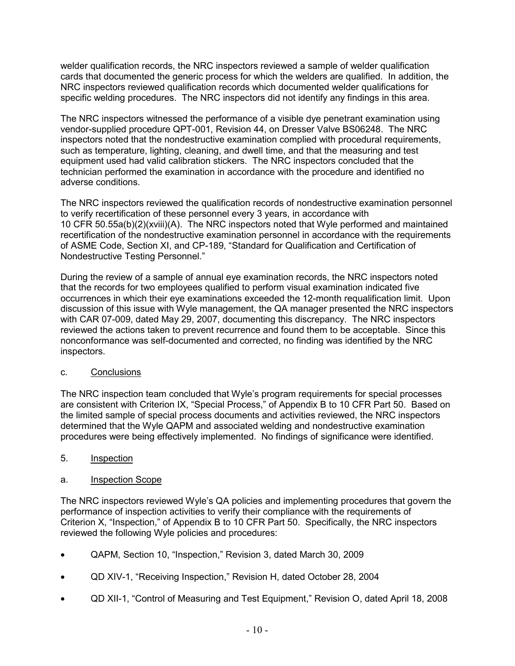welder qualification records, the NRC inspectors reviewed a sample of welder qualification cards that documented the generic process for which the welders are qualified. In addition, the NRC inspectors reviewed qualification records which documented welder qualifications for specific welding procedures. The NRC inspectors did not identify any findings in this area.

The NRC inspectors witnessed the performance of a visible dye penetrant examination using vendor-supplied procedure QPT-001, Revision 44, on Dresser Valve BS06248. The NRC inspectors noted that the nondestructive examination complied with procedural requirements, such as temperature, lighting, cleaning, and dwell time, and that the measuring and test equipment used had valid calibration stickers. The NRC inspectors concluded that the technician performed the examination in accordance with the procedure and identified no adverse conditions.

The NRC inspectors reviewed the qualification records of nondestructive examination personnel to verify recertification of these personnel every 3 years, in accordance with 10 CFR 50.55a(b)(2)(xviii)(A). The NRC inspectors noted that Wyle performed and maintained recertification of the nondestructive examination personnel in accordance with the requirements of ASME Code, Section XI, and CP-189, "Standard for Qualification and Certification of Nondestructive Testing Personnel."

During the review of a sample of annual eye examination records, the NRC inspectors noted that the records for two employees qualified to perform visual examination indicated five occurrences in which their eye examinations exceeded the 12-month requalification limit. Upon discussion of this issue with Wyle management, the QA manager presented the NRC inspectors with CAR 07-009, dated May 29, 2007, documenting this discrepancy. The NRC inspectors reviewed the actions taken to prevent recurrence and found them to be acceptable. Since this nonconformance was self-documented and corrected, no finding was identified by the NRC inspectors.

#### c. Conclusions

The NRC inspection team concluded that Wyle's program requirements for special processes are consistent with Criterion IX, "Special Process," of Appendix B to 10 CFR Part 50. Based on the limited sample of special process documents and activities reviewed, the NRC inspectors determined that the Wyle QAPM and associated welding and nondestructive examination procedures were being effectively implemented. No findings of significance were identified.

# 5. Inspection

# a. Inspection Scope

The NRC inspectors reviewed Wyle's QA policies and implementing procedures that govern the performance of inspection activities to verify their compliance with the requirements of Criterion X, "Inspection," of Appendix B to 10 CFR Part 50. Specifically, the NRC inspectors reviewed the following Wyle policies and procedures:

- QAPM, Section 10, "Inspection," Revision 3, dated March 30, 2009
- QD XIV-1, "Receiving Inspection," Revision H, dated October 28, 2004
- QD XII-1, "Control of Measuring and Test Equipment," Revision O, dated April 18, 2008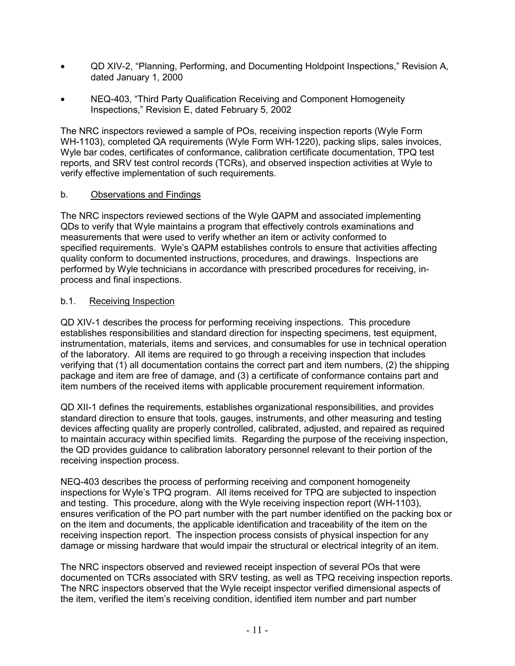- QD XIV-2, "Planning, Performing, and Documenting Holdpoint Inspections," Revision A, dated January 1, 2000
- NEQ-403, "Third Party Qualification Receiving and Component Homogeneity Inspections," Revision E, dated February 5, 2002

The NRC inspectors reviewed a sample of POs, receiving inspection reports (Wyle Form WH-1103), completed QA requirements (Wyle Form WH-1220), packing slips, sales invoices, Wyle bar codes, certificates of conformance, calibration certificate documentation, TPQ test reports, and SRV test control records (TCRs), and observed inspection activities at Wyle to verify effective implementation of such requirements.

### b. Observations and Findings

The NRC inspectors reviewed sections of the Wyle QAPM and associated implementing QDs to verify that Wyle maintains a program that effectively controls examinations and measurements that were used to verify whether an item or activity conformed to specified requirements. Wyle's QAPM establishes controls to ensure that activities affecting quality conform to documented instructions, procedures, and drawings. Inspections are performed by Wyle technicians in accordance with prescribed procedures for receiving, inprocess and final inspections.

### b.1. Receiving Inspection

QD XIV-1 describes the process for performing receiving inspections. This procedure establishes responsibilities and standard direction for inspecting specimens, test equipment, instrumentation, materials, items and services, and consumables for use in technical operation of the laboratory. All items are required to go through a receiving inspection that includes verifying that (1) all documentation contains the correct part and item numbers, (2) the shipping package and item are free of damage, and (3) a certificate of conformance contains part and item numbers of the received items with applicable procurement requirement information.

QD XII-1 defines the requirements, establishes organizational responsibilities, and provides standard direction to ensure that tools, gauges, instruments, and other measuring and testing devices affecting quality are properly controlled, calibrated, adjusted, and repaired as required to maintain accuracy within specified limits. Regarding the purpose of the receiving inspection, the QD provides guidance to calibration laboratory personnel relevant to their portion of the receiving inspection process.

NEQ-403 describes the process of performing receiving and component homogeneity inspections for Wyle's TPQ program. All items received for TPQ are subjected to inspection and testing. This procedure, along with the Wyle receiving inspection report (WH-1103), ensures verification of the PO part number with the part number identified on the packing box or on the item and documents, the applicable identification and traceability of the item on the receiving inspection report. The inspection process consists of physical inspection for any damage or missing hardware that would impair the structural or electrical integrity of an item.

The NRC inspectors observed and reviewed receipt inspection of several POs that were documented on TCRs associated with SRV testing, as well as TPQ receiving inspection reports. The NRC inspectors observed that the Wyle receipt inspector verified dimensional aspects of the item, verified the item's receiving condition, identified item number and part number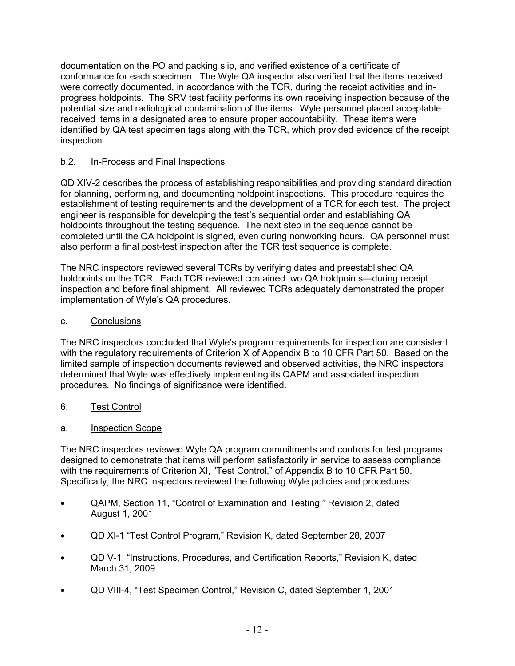documentation on the PO and packing slip, and verified existence of a certificate of conformance for each specimen. The Wyle QA inspector also verified that the items received were correctly documented, in accordance with the TCR, during the receipt activities and inprogress holdpoints. The SRV test facility performs its own receiving inspection because of the potential size and radiological contamination of the items. Wyle personnel placed acceptable received items in a designated area to ensure proper accountability. These items were identified by QA test specimen tags along with the TCR, which provided evidence of the receipt inspection.

# b.2. In-Process and Final Inspections

QD XIV-2 describes the process of establishing responsibilities and providing standard direction for planning, performing, and documenting holdpoint inspections. This procedure requires the establishment of testing requirements and the development of a TCR for each test. The project engineer is responsible for developing the test's sequential order and establishing QA holdpoints throughout the testing sequence. The next step in the sequence cannot be completed until the QA holdpoint is signed, even during nonworking hours. QA personnel must also perform a final post-test inspection after the TCR test sequence is complete.

The NRC inspectors reviewed several TCRs by verifying dates and preestablished QA holdpoints on the TCR. Each TCR reviewed contained two QA holdpoints—during receipt inspection and before final shipment. All reviewed TCRs adequately demonstrated the proper implementation of Wyle's QA procedures.

# c. Conclusions

The NRC inspectors concluded that Wyle's program requirements for inspection are consistent with the regulatory requirements of Criterion X of Appendix B to 10 CFR Part 50. Based on the limited sample of inspection documents reviewed and observed activities, the NRC inspectors determined that Wyle was effectively implementing its QAPM and associated inspection procedures. No findings of significance were identified.

- 6. Test Control
- a. Inspection Scope

The NRC inspectors reviewed Wyle QA program commitments and controls for test programs designed to demonstrate that items will perform satisfactorily in service to assess compliance with the requirements of Criterion XI, "Test Control," of Appendix B to 10 CFR Part 50. Specifically, the NRC inspectors reviewed the following Wyle policies and procedures:

- QAPM, Section 11, "Control of Examination and Testing," Revision 2, dated August 1, 2001
- QD XI-1 "Test Control Program," Revision K, dated September 28, 2007
- QD V-1, "Instructions, Procedures, and Certification Reports," Revision K, dated March 31, 2009
- QD VIII-4, "Test Specimen Control," Revision C, dated September 1, 2001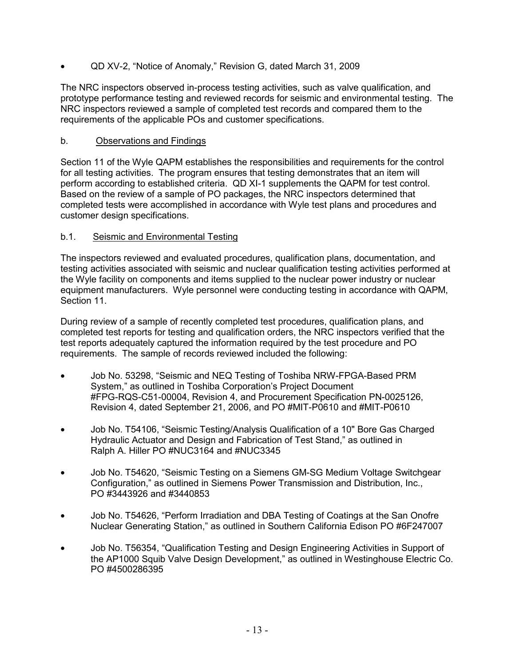• QD XV-2, "Notice of Anomaly," Revision G, dated March 31, 2009

The NRC inspectors observed in-process testing activities, such as valve qualification, and prototype performance testing and reviewed records for seismic and environmental testing. The NRC inspectors reviewed a sample of completed test records and compared them to the requirements of the applicable POs and customer specifications.

### b. Observations and Findings

Section 11 of the Wyle QAPM establishes the responsibilities and requirements for the control for all testing activities. The program ensures that testing demonstrates that an item will perform according to established criteria. QD XI-1 supplements the QAPM for test control. Based on the review of a sample of PO packages, the NRC inspectors determined that completed tests were accomplished in accordance with Wyle test plans and procedures and customer design specifications.

### b.1. Seismic and Environmental Testing

The inspectors reviewed and evaluated procedures, qualification plans, documentation, and testing activities associated with seismic and nuclear qualification testing activities performed at the Wyle facility on components and items supplied to the nuclear power industry or nuclear equipment manufacturers. Wyle personnel were conducting testing in accordance with QAPM, Section 11.

During review of a sample of recently completed test procedures, qualification plans, and completed test reports for testing and qualification orders, the NRC inspectors verified that the test reports adequately captured the information required by the test procedure and PO requirements. The sample of records reviewed included the following:

- Job No. 53298, "Seismic and NEQ Testing of Toshiba NRW-FPGA-Based PRM System," as outlined in Toshiba Corporation's Project Document #FPG-RQS-C51-00004, Revision 4, and Procurement Specification PN-0025126, Revision 4, dated September 21, 2006, and PO #MIT-P0610 and #MIT-P0610
- Job No. T54106, "Seismic Testing/Analysis Qualification of a 10" Bore Gas Charged Hydraulic Actuator and Design and Fabrication of Test Stand," as outlined in Ralph A. Hiller PO #NUC3164 and #NUC3345
- Job No. T54620, "Seismic Testing on a Siemens GM-SG Medium Voltage Switchgear Configuration," as outlined in Siemens Power Transmission and Distribution, Inc., PO #3443926 and #3440853
- Job No. T54626, "Perform Irradiation and DBA Testing of Coatings at the San Onofre Nuclear Generating Station," as outlined in Southern California Edison PO #6F247007
- Job No. T56354, "Qualification Testing and Design Engineering Activities in Support of the AP1000 Squib Valve Design Development," as outlined in Westinghouse Electric Co. PO #4500286395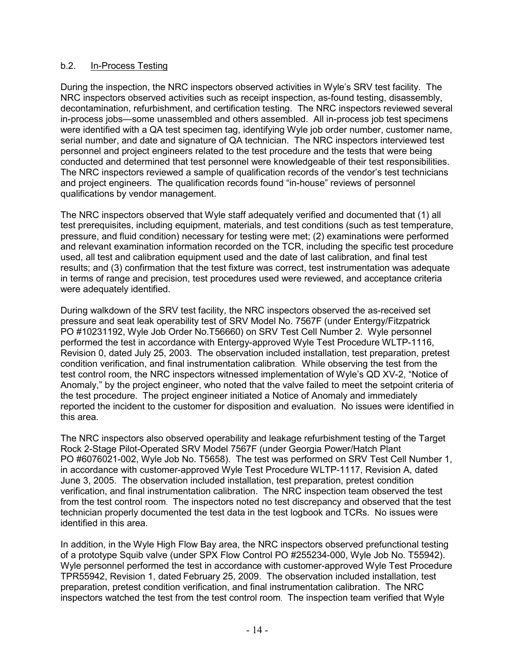### b.2. In-Process Testing

During the inspection, the NRC inspectors observed activities in Wyle's SRV test facility. The NRC inspectors observed activities such as receipt inspection, as-found testing, disassembly, decontamination, refurbishment, and certification testing. The NRC inspectors reviewed several in-process jobs—some unassembled and others assembled. All in-process job test specimens were identified with a QA test specimen tag, identifying Wyle job order number, customer name, serial number, and date and signature of QA technician. The NRC inspectors interviewed test personnel and project engineers related to the test procedure and the tests that were being conducted and determined that test personnel were knowledgeable of their test responsibilities. The NRC inspectors reviewed a sample of qualification records of the vendor's test technicians and project engineers. The qualification records found "in-house" reviews of personnel qualifications by vendor management.

The NRC inspectors observed that Wyle staff adequately verified and documented that (1) all test prerequisites, including equipment, materials, and test conditions (such as test temperature, pressure, and fluid condition) necessary for testing were met; (2) examinations were performed and relevant examination information recorded on the TCR, including the specific test procedure used, all test and calibration equipment used and the date of last calibration, and final test results; and (3) confirmation that the test fixture was correct, test instrumentation was adequate in terms of range and precision, test procedures used were reviewed, and acceptance criteria were adequately identified.

During walkdown of the SRV test facility, the NRC inspectors observed the as-received set pressure and seat leak operability test of SRV Model No. 7567F (under Entergy/Fitzpatrick PO #10231192, Wyle Job Order No.T56660) on SRV Test Cell Number 2. Wyle personnel performed the test in accordance with Entergy-approved Wyle Test Procedure WLTP-1116, Revision 0, dated July 25, 2003. The observation included installation, test preparation, pretest condition verification, and final instrumentation calibration. While observing the test from the test control room, the NRC inspectors witnessed implementation of Wyle's QD XV-2, "Notice of Anomaly," by the project engineer, who noted that the valve failed to meet the setpoint criteria of the test procedure. The project engineer initiated a Notice of Anomaly and immediately reported the incident to the customer for disposition and evaluation. No issues were identified in this area.

The NRC inspectors also observed operability and leakage refurbishment testing of the Target Rock 2-Stage Pilot-Operated SRV Model 7567F (under Georgia Power/Hatch Plant PO #6076021-002, Wyle Job No. T5658). The test was performed on SRV Test Cell Number 1, in accordance with customer-approved Wyle Test Procedure WLTP-1117, Revision A, dated June 3, 2005. The observation included installation, test preparation, pretest condition verification, and final instrumentation calibration. The NRC inspection team observed the test from the test control room. The inspectors noted no test discrepancy and observed that the test technician properly documented the test data in the test logbook and TCRs. No issues were identified in this area.

In addition, in the Wyle High Flow Bay area, the NRC inspectors observed prefunctional testing of a prototype Squib valve (under SPX Flow Control PO #255234-000, Wyle Job No. T55942). Wyle personnel performed the test in accordance with customer-approved Wyle Test Procedure TPR55942, Revision 1, dated February 25, 2009. The observation included installation, test preparation, pretest condition verification, and final instrumentation calibration. The NRC inspectors watched the test from the test control room. The inspection team verified that Wyle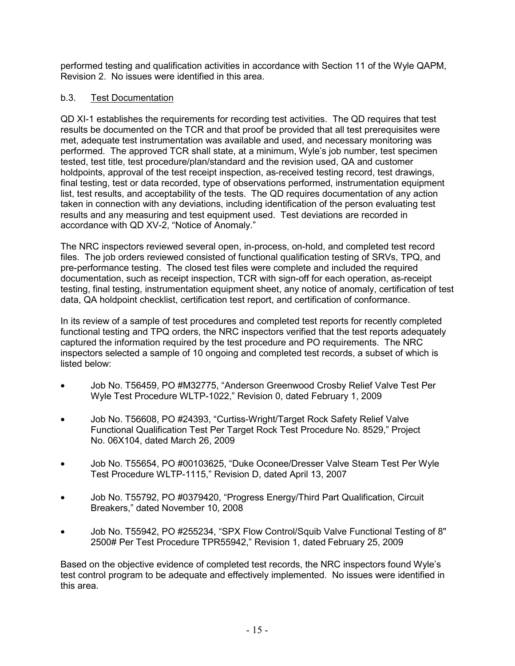performed testing and qualification activities in accordance with Section 11 of the Wyle QAPM, Revision 2. No issues were identified in this area.

# b.3. Test Documentation

QD XI-1 establishes the requirements for recording test activities. The QD requires that test results be documented on the TCR and that proof be provided that all test prerequisites were met, adequate test instrumentation was available and used, and necessary monitoring was performed. The approved TCR shall state, at a minimum, Wyle's job number, test specimen tested, test title, test procedure/plan/standard and the revision used, QA and customer holdpoints, approval of the test receipt inspection, as-received testing record, test drawings, final testing, test or data recorded, type of observations performed, instrumentation equipment list, test results, and acceptability of the tests. The QD requires documentation of any action taken in connection with any deviations, including identification of the person evaluating test results and any measuring and test equipment used. Test deviations are recorded in accordance with QD XV-2, "Notice of Anomaly."

The NRC inspectors reviewed several open, in-process, on-hold, and completed test record files. The job orders reviewed consisted of functional qualification testing of SRVs, TPQ, and pre-performance testing. The closed test files were complete and included the required documentation, such as receipt inspection, TCR with sign-off for each operation, as-receipt testing, final testing, instrumentation equipment sheet, any notice of anomaly, certification of test data, QA holdpoint checklist, certification test report, and certification of conformance.

In its review of a sample of test procedures and completed test reports for recently completed functional testing and TPQ orders, the NRC inspectors verified that the test reports adequately captured the information required by the test procedure and PO requirements. The NRC inspectors selected a sample of 10 ongoing and completed test records, a subset of which is listed below:

- Job No. T56459, PO #M32775, "Anderson Greenwood Crosby Relief Valve Test Per Wyle Test Procedure WLTP-1022," Revision 0, dated February 1, 2009
- Job No. T56608, PO #24393, "Curtiss-Wright/Target Rock Safety Relief Valve Functional Qualification Test Per Target Rock Test Procedure No. 8529," Project No. 06X104, dated March 26, 2009
- Job No. T55654, PO #00103625, "Duke Oconee/Dresser Valve Steam Test Per Wyle Test Procedure WLTP-1115," Revision D, dated April 13, 2007
- Job No. T55792, PO #0379420, "Progress Energy/Third Part Qualification, Circuit Breakers," dated November 10, 2008
- Job No. T55942, PO #255234, "SPX Flow Control/Squib Valve Functional Testing of 8" 2500# Per Test Procedure TPR55942," Revision 1, dated February 25, 2009

Based on the objective evidence of completed test records, the NRC inspectors found Wyle's test control program to be adequate and effectively implemented. No issues were identified in this area.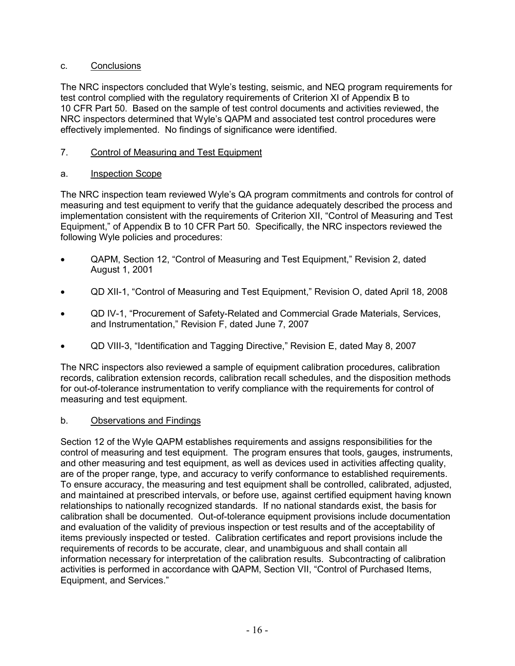## c. Conclusions

The NRC inspectors concluded that Wyle's testing, seismic, and NEQ program requirements for test control complied with the regulatory requirements of Criterion XI of Appendix B to 10 CFR Part 50. Based on the sample of test control documents and activities reviewed, the NRC inspectors determined that Wyle's QAPM and associated test control procedures were effectively implemented. No findings of significance were identified.

# 7. Control of Measuring and Test Equipment

# a. Inspection Scope

The NRC inspection team reviewed Wyle's QA program commitments and controls for control of measuring and test equipment to verify that the guidance adequately described the process and implementation consistent with the requirements of Criterion XII, "Control of Measuring and Test Equipment," of Appendix B to 10 CFR Part 50. Specifically, the NRC inspectors reviewed the following Wyle policies and procedures:

- QAPM, Section 12, "Control of Measuring and Test Equipment," Revision 2, dated August 1, 2001
- QD XII-1, "Control of Measuring and Test Equipment," Revision O, dated April 18, 2008
- QD IV-1, "Procurement of Safety-Related and Commercial Grade Materials, Services, and Instrumentation," Revision F, dated June 7, 2007
- QD VIII-3, "Identification and Tagging Directive," Revision E, dated May 8, 2007

The NRC inspectors also reviewed a sample of equipment calibration procedures, calibration records, calibration extension records, calibration recall schedules, and the disposition methods for out-of-tolerance instrumentation to verify compliance with the requirements for control of measuring and test equipment.

# b. Observations and Findings

Section 12 of the Wyle QAPM establishes requirements and assigns responsibilities for the control of measuring and test equipment. The program ensures that tools, gauges, instruments, and other measuring and test equipment, as well as devices used in activities affecting quality, are of the proper range, type, and accuracy to verify conformance to established requirements. To ensure accuracy, the measuring and test equipment shall be controlled, calibrated, adjusted, and maintained at prescribed intervals, or before use, against certified equipment having known relationships to nationally recognized standards. If no national standards exist, the basis for calibration shall be documented. Out-of-tolerance equipment provisions include documentation and evaluation of the validity of previous inspection or test results and of the acceptability of items previously inspected or tested. Calibration certificates and report provisions include the requirements of records to be accurate, clear, and unambiguous and shall contain all information necessary for interpretation of the calibration results. Subcontracting of calibration activities is performed in accordance with QAPM, Section VII, "Control of Purchased Items, Equipment, and Services."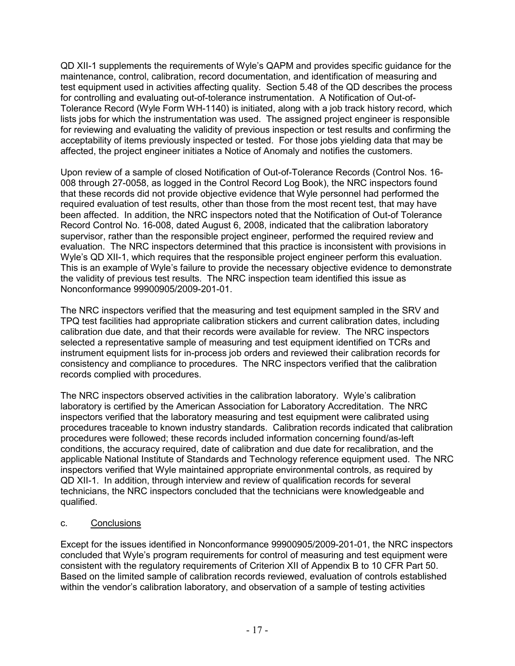QD XII-1 supplements the requirements of Wyle's QAPM and provides specific guidance for the maintenance, control, calibration, record documentation, and identification of measuring and test equipment used in activities affecting quality. Section 5.48 of the QD describes the process for controlling and evaluating out-of-tolerance instrumentation. A Notification of Out-of-Tolerance Record (Wyle Form WH-1140) is initiated, along with a job track history record, which lists jobs for which the instrumentation was used. The assigned project engineer is responsible for reviewing and evaluating the validity of previous inspection or test results and confirming the acceptability of items previously inspected or tested. For those jobs yielding data that may be affected, the project engineer initiates a Notice of Anomaly and notifies the customers.

Upon review of a sample of closed Notification of Out-of-Tolerance Records (Control Nos. 16- 008 through 27-0058, as logged in the Control Record Log Book), the NRC inspectors found that these records did not provide objective evidence that Wyle personnel had performed the required evaluation of test results, other than those from the most recent test, that may have been affected. In addition, the NRC inspectors noted that the Notification of Out-of Tolerance Record Control No. 16-008, dated August 6, 2008, indicated that the calibration laboratory supervisor, rather than the responsible project engineer, performed the required review and evaluation. The NRC inspectors determined that this practice is inconsistent with provisions in Wyle's QD XII-1, which requires that the responsible project engineer perform this evaluation. This is an example of Wyle's failure to provide the necessary objective evidence to demonstrate the validity of previous test results. The NRC inspection team identified this issue as Nonconformance 99900905/2009-201-01.

The NRC inspectors verified that the measuring and test equipment sampled in the SRV and TPQ test facilities had appropriate calibration stickers and current calibration dates, including calibration due date, and that their records were available for review. The NRC inspectors selected a representative sample of measuring and test equipment identified on TCRs and instrument equipment lists for in-process job orders and reviewed their calibration records for consistency and compliance to procedures. The NRC inspectors verified that the calibration records complied with procedures.

The NRC inspectors observed activities in the calibration laboratory. Wyle's calibration laboratory is certified by the American Association for Laboratory Accreditation. The NRC inspectors verified that the laboratory measuring and test equipment were calibrated using procedures traceable to known industry standards. Calibration records indicated that calibration procedures were followed; these records included information concerning found/as-left conditions, the accuracy required, date of calibration and due date for recalibration, and the applicable National Institute of Standards and Technology reference equipment used. The NRC inspectors verified that Wyle maintained appropriate environmental controls, as required by QD XII-1. In addition, through interview and review of qualification records for several technicians, the NRC inspectors concluded that the technicians were knowledgeable and qualified.

# c. Conclusions

Except for the issues identified in Nonconformance 99900905/2009-201-01, the NRC inspectors concluded that Wyle's program requirements for control of measuring and test equipment were consistent with the regulatory requirements of Criterion XII of Appendix B to 10 CFR Part 50. Based on the limited sample of calibration records reviewed, evaluation of controls established within the vendor's calibration laboratory, and observation of a sample of testing activities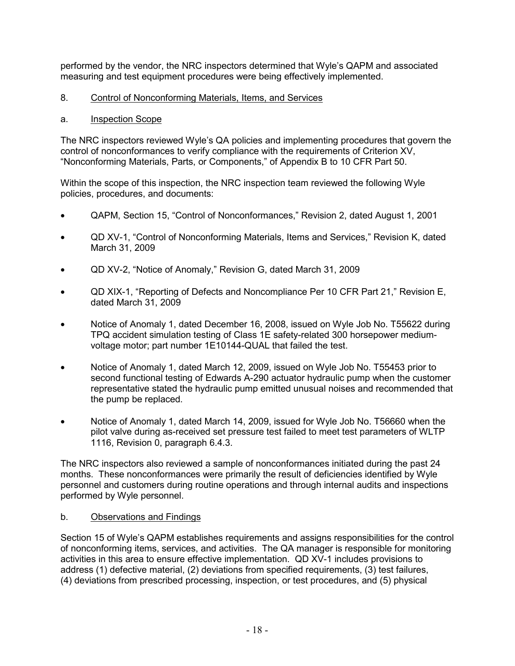performed by the vendor, the NRC inspectors determined that Wyle's QAPM and associated measuring and test equipment procedures were being effectively implemented.

# 8. Control of Nonconforming Materials, Items, and Services

# a. Inspection Scope

The NRC inspectors reviewed Wyle's QA policies and implementing procedures that govern the control of nonconformances to verify compliance with the requirements of Criterion XV, "Nonconforming Materials, Parts, or Components," of Appendix B to 10 CFR Part 50.

Within the scope of this inspection, the NRC inspection team reviewed the following Wyle policies, procedures, and documents:

- QAPM, Section 15, "Control of Nonconformances," Revision 2, dated August 1, 2001
- QD XV-1, "Control of Nonconforming Materials, Items and Services," Revision K, dated March 31, 2009
- QD XV-2, "Notice of Anomaly," Revision G, dated March 31, 2009
- QD XIX-1, "Reporting of Defects and Noncompliance Per 10 CFR Part 21," Revision E, dated March 31, 2009
- Notice of Anomaly 1, dated December 16, 2008, issued on Wyle Job No. T55622 during TPQ accident simulation testing of Class 1E safety-related 300 horsepower mediumvoltage motor; part number 1E10144-QUAL that failed the test.
- Notice of Anomaly 1, dated March 12, 2009, issued on Wyle Job No. T55453 prior to second functional testing of Edwards A-290 actuator hydraulic pump when the customer representative stated the hydraulic pump emitted unusual noises and recommended that the pump be replaced.
- Notice of Anomaly 1, dated March 14, 2009, issued for Wyle Job No. T56660 when the pilot valve during as-received set pressure test failed to meet test parameters of WLTP 1116, Revision 0, paragraph 6.4.3.

The NRC inspectors also reviewed a sample of nonconformances initiated during the past 24 months. These nonconformances were primarily the result of deficiencies identified by Wyle personnel and customers during routine operations and through internal audits and inspections performed by Wyle personnel.

# b. Observations and Findings

Section 15 of Wyle's QAPM establishes requirements and assigns responsibilities for the control of nonconforming items, services, and activities. The QA manager is responsible for monitoring activities in this area to ensure effective implementation. QD XV-1 includes provisions to address (1) defective material, (2) deviations from specified requirements, (3) test failures, (4) deviations from prescribed processing, inspection, or test procedures, and (5) physical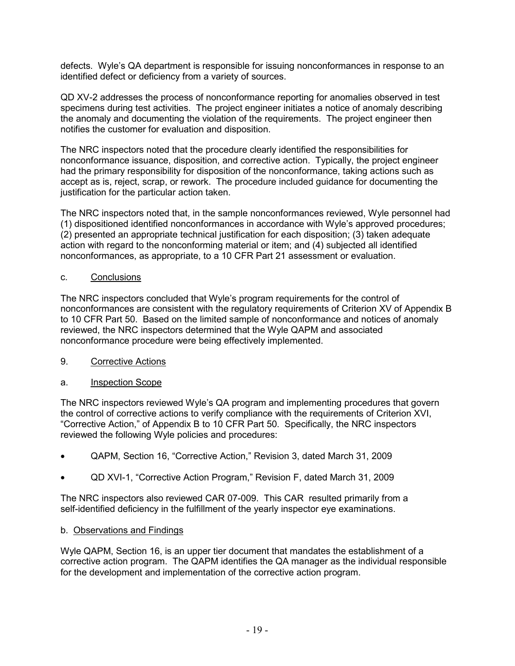defects. Wyle's QA department is responsible for issuing nonconformances in response to an identified defect or deficiency from a variety of sources.

QD XV-2 addresses the process of nonconformance reporting for anomalies observed in test specimens during test activities. The project engineer initiates a notice of anomaly describing the anomaly and documenting the violation of the requirements. The project engineer then notifies the customer for evaluation and disposition.

The NRC inspectors noted that the procedure clearly identified the responsibilities for nonconformance issuance, disposition, and corrective action. Typically, the project engineer had the primary responsibility for disposition of the nonconformance, taking actions such as accept as is, reject, scrap, or rework. The procedure included guidance for documenting the justification for the particular action taken.

The NRC inspectors noted that, in the sample nonconformances reviewed, Wyle personnel had (1) dispositioned identified nonconformances in accordance with Wyle's approved procedures; (2) presented an appropriate technical justification for each disposition; (3) taken adequate action with regard to the nonconforming material or item; and (4) subjected all identified nonconformances, as appropriate, to a 10 CFR Part 21 assessment or evaluation.

### c. Conclusions

The NRC inspectors concluded that Wyle's program requirements for the control of nonconformances are consistent with the regulatory requirements of Criterion XV of Appendix B to 10 CFR Part 50. Based on the limited sample of nonconformance and notices of anomaly reviewed, the NRC inspectors determined that the Wyle QAPM and associated nonconformance procedure were being effectively implemented.

9. Corrective Actions

# a. Inspection Scope

The NRC inspectors reviewed Wyle's QA program and implementing procedures that govern the control of corrective actions to verify compliance with the requirements of Criterion XVI, "Corrective Action," of Appendix B to 10 CFR Part 50. Specifically, the NRC inspectors reviewed the following Wyle policies and procedures:

- QAPM, Section 16, "Corrective Action," Revision 3, dated March 31, 2009
- QD XVI-1, "Corrective Action Program," Revision F, dated March 31, 2009

The NRC inspectors also reviewed CAR 07-009. This CAR resulted primarily from a self-identified deficiency in the fulfillment of the yearly inspector eye examinations.

# b. Observations and Findings

Wyle QAPM, Section 16, is an upper tier document that mandates the establishment of a corrective action program. The QAPM identifies the QA manager as the individual responsible for the development and implementation of the corrective action program.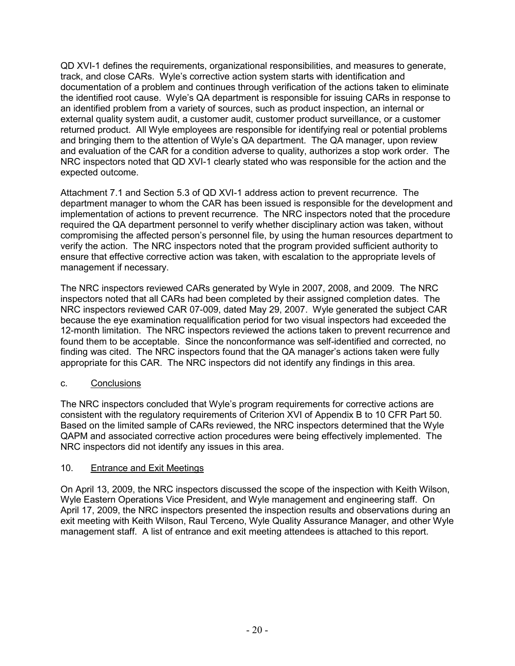QD XVI-1 defines the requirements, organizational responsibilities, and measures to generate, track, and close CARs. Wyle's corrective action system starts with identification and documentation of a problem and continues through verification of the actions taken to eliminate the identified root cause. Wyle's QA department is responsible for issuing CARs in response to an identified problem from a variety of sources, such as product inspection, an internal or external quality system audit, a customer audit, customer product surveillance, or a customer returned product. All Wyle employees are responsible for identifying real or potential problems and bringing them to the attention of Wyle's QA department. The QA manager, upon review and evaluation of the CAR for a condition adverse to quality, authorizes a stop work order. The NRC inspectors noted that QD XVI-1 clearly stated who was responsible for the action and the expected outcome.

Attachment 7.1 and Section 5.3 of QD XVI-1 address action to prevent recurrence. The department manager to whom the CAR has been issued is responsible for the development and implementation of actions to prevent recurrence. The NRC inspectors noted that the procedure required the QA department personnel to verify whether disciplinary action was taken, without compromising the affected person's personnel file, by using the human resources department to verify the action. The NRC inspectors noted that the program provided sufficient authority to ensure that effective corrective action was taken, with escalation to the appropriate levels of management if necessary.

The NRC inspectors reviewed CARs generated by Wyle in 2007, 2008, and 2009. The NRC inspectors noted that all CARs had been completed by their assigned completion dates. The NRC inspectors reviewed CAR 07-009, dated May 29, 2007. Wyle generated the subject CAR because the eye examination requalification period for two visual inspectors had exceeded the 12-month limitation. The NRC inspectors reviewed the actions taken to prevent recurrence and found them to be acceptable. Since the nonconformance was self-identified and corrected, no finding was cited. The NRC inspectors found that the QA manager's actions taken were fully appropriate for this CAR. The NRC inspectors did not identify any findings in this area.

# c. Conclusions

The NRC inspectors concluded that Wyle's program requirements for corrective actions are consistent with the regulatory requirements of Criterion XVI of Appendix B to 10 CFR Part 50. Based on the limited sample of CARs reviewed, the NRC inspectors determined that the Wyle QAPM and associated corrective action procedures were being effectively implemented. The NRC inspectors did not identify any issues in this area.

#### 10. Entrance and Exit Meetings

On April 13, 2009, the NRC inspectors discussed the scope of the inspection with Keith Wilson, Wyle Eastern Operations Vice President, and Wyle management and engineering staff. On April 17, 2009, the NRC inspectors presented the inspection results and observations during an exit meeting with Keith Wilson, Raul Terceno, Wyle Quality Assurance Manager, and other Wyle management staff. A list of entrance and exit meeting attendees is attached to this report.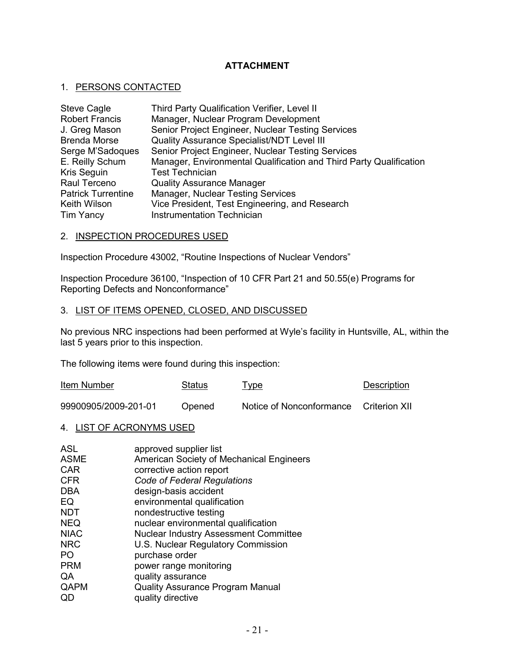### **ATTACHMENT**

#### 1. PERSONS CONTACTED

| <b>Steve Cagle</b>        | Third Party Qualification Verifier, Level II                       |
|---------------------------|--------------------------------------------------------------------|
| <b>Robert Francis</b>     | Manager, Nuclear Program Development                               |
| J. Greg Mason             | Senior Project Engineer, Nuclear Testing Services                  |
| <b>Brenda Morse</b>       | Quality Assurance Specialist/NDT Level III                         |
| Serge M'Sadoques          | Senior Project Engineer, Nuclear Testing Services                  |
| E. Reilly Schum           | Manager, Environmental Qualification and Third Party Qualification |
| Kris Seguin               | <b>Test Technician</b>                                             |
| Raul Terceno              | <b>Quality Assurance Manager</b>                                   |
| <b>Patrick Turrentine</b> | Manager, Nuclear Testing Services                                  |
| <b>Keith Wilson</b>       | Vice President, Test Engineering, and Research                     |
| Tim Yancy                 | <b>Instrumentation Technician</b>                                  |

#### 2. INSPECTION PROCEDURES USED

Inspection Procedure 43002, "Routine Inspections of Nuclear Vendors"

Inspection Procedure 36100, "Inspection of 10 CFR Part 21 and 50.55(e) Programs for Reporting Defects and Nonconformance"

#### 3. LIST OF ITEMS OPENED, CLOSED, AND DISCUSSED

No previous NRC inspections had been performed at Wyle's facility in Huntsville, AL, within the last 5 years prior to this inspection.

The following items were found during this inspection:

| Item Number          | Status | <u>Type</u>                            | Description |
|----------------------|--------|----------------------------------------|-------------|
| 99900905/2009-201-01 | Opened | Notice of Nonconformance Criterion XII |             |

#### 4. LIST OF ACRONYMS USED

| approved supplier list                   |
|------------------------------------------|
| American Society of Mechanical Engineers |
| corrective action report                 |
| Code of Federal Regulations              |
| design-basis accident                    |
| environmental qualification              |
| nondestructive testing                   |
| nuclear environmental qualification      |
| Nuclear Industry Assessment Committee    |
| U.S. Nuclear Regulatory Commission       |
| purchase order                           |
| power range monitoring                   |
| quality assurance                        |
| <b>Quality Assurance Program Manual</b>  |
| quality directive                        |
|                                          |